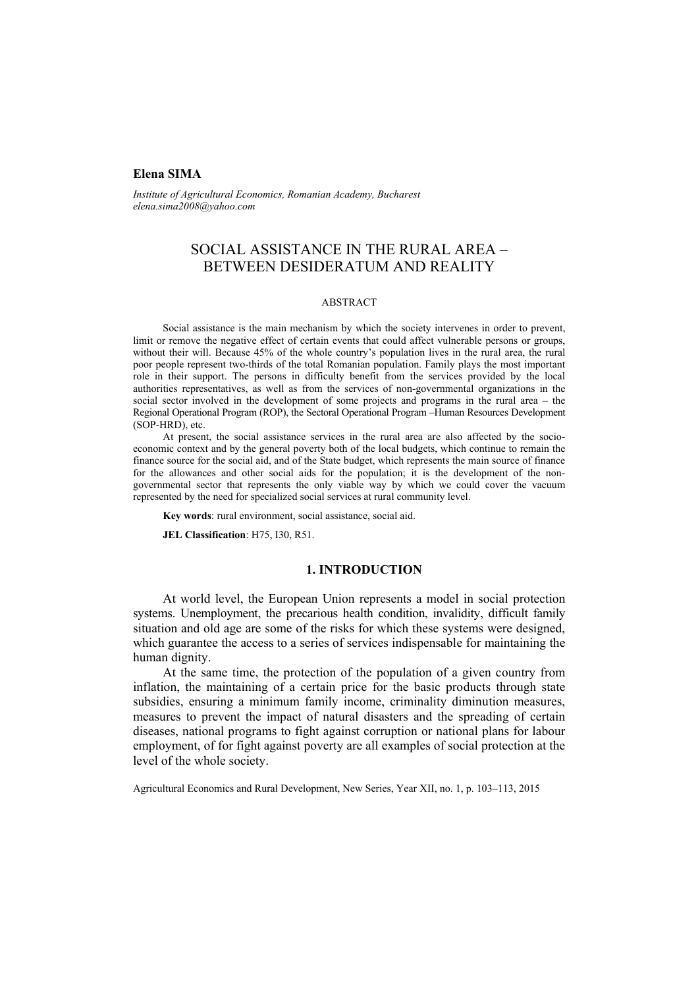## **Elena SIMA**

*Institute of Agricultural Economics, Romanian Academy, Bucharest elena.sima2008@yahoo.com* 

# SOCIAL ASSISTANCE IN THE RURAL AREA – BETWEEN DESIDERATUM AND REALITY

#### ABSTRACT

Social assistance is the main mechanism by which the society intervenes in order to prevent, limit or remove the negative effect of certain events that could affect vulnerable persons or groups, without their will. Because 45% of the whole country's population lives in the rural area, the rural poor people represent two-thirds of the total Romanian population. Family plays the most important role in their support. The persons in difficulty benefit from the services provided by the local authorities representatives, as well as from the services of non-governmental organizations in the social sector involved in the development of some projects and programs in the rural area – the Regional Operational Program (ROP), the Sectoral Operational Program –Human Resources Development (SOP-HRD), etc.

At present, the social assistance services in the rural area are also affected by the socioeconomic context and by the general poverty both of the local budgets, which continue to remain the finance source for the social aid, and of the State budget, which represents the main source of finance for the allowances and other social aids for the population; it is the development of the nongovernmental sector that represents the only viable way by which we could cover the vacuum represented by the need for specialized social services at rural community level.

**Key words**: rural environment, social assistance, social aid.

**JEL Classification**: H75, I30, R51.

### **1. INTRODUCTION**

At world level, the European Union represents a model in social protection systems. Unemployment, the precarious health condition, invalidity, difficult family situation and old age are some of the risks for which these systems were designed, which guarantee the access to a series of services indispensable for maintaining the human dignity.

At the same time, the protection of the population of a given country from inflation, the maintaining of a certain price for the basic products through state subsidies, ensuring a minimum family income, criminality diminution measures, measures to prevent the impact of natural disasters and the spreading of certain diseases, national programs to fight against corruption or national plans for labour employment, of for fight against poverty are all examples of social protection at the level of the whole society.

Agricultural Economics and Rural Development, New Series, Year XII, no. 1, p. 103–113, 2015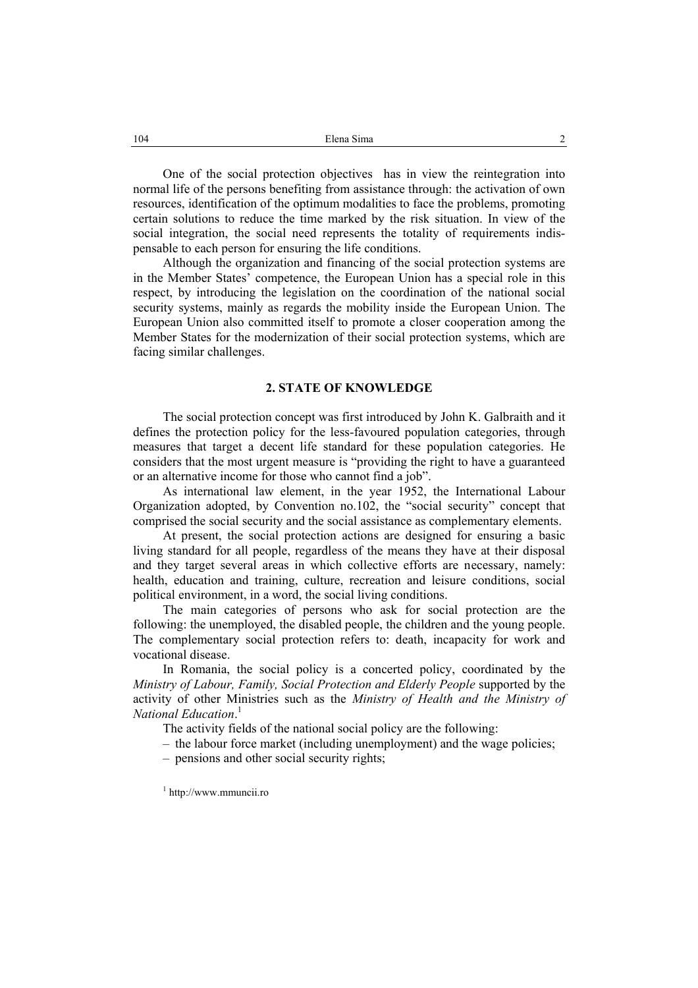One of the social protection objectives has in view the reintegration into normal life of the persons benefiting from assistance through: the activation of own resources, identification of the optimum modalities to face the problems, promoting certain solutions to reduce the time marked by the risk situation. In view of the social integration, the social need represents the totality of requirements indispensable to each person for ensuring the life conditions.

Although the organization and financing of the social protection systems are in the Member States' competence, the European Union has a special role in this respect, by introducing the legislation on the coordination of the national social security systems, mainly as regards the mobility inside the European Union. The European Union also committed itself to promote a closer cooperation among the Member States for the modernization of their social protection systems, which are facing similar challenges.

#### **2. STATE OF KNOWLEDGE**

The social protection concept was first introduced by John K. Galbraith and it defines the protection policy for the less-favoured population categories, through measures that target a decent life standard for these population categories. He considers that the most urgent measure is "providing the right to have a guaranteed or an alternative income for those who cannot find a job".

As international law element, in the year 1952, the International Labour Organization adopted, by Convention no.102, the "social security" concept that comprised the social security and the social assistance as complementary elements.

At present, the social protection actions are designed for ensuring a basic living standard for all people, regardless of the means they have at their disposal and they target several areas in which collective efforts are necessary, namely: health, education and training, culture, recreation and leisure conditions, social political environment, in a word, the social living conditions.

The main categories of persons who ask for social protection are the following: the unemployed, the disabled people, the children and the young people. The complementary social protection refers to: death, incapacity for work and vocational disease.

In Romania, the social policy is a concerted policy, coordinated by the *Ministry of Labour, Family, Social Protection and Elderly People* supported by the activity of other Ministries such as the *Ministry of Health and the Ministry of National Education*. 1

The activity fields of the national social policy are the following:

– the labour force market (including unemployment) and the wage policies;

– pensions and other social security rights;

1 http://www.mmuncii.ro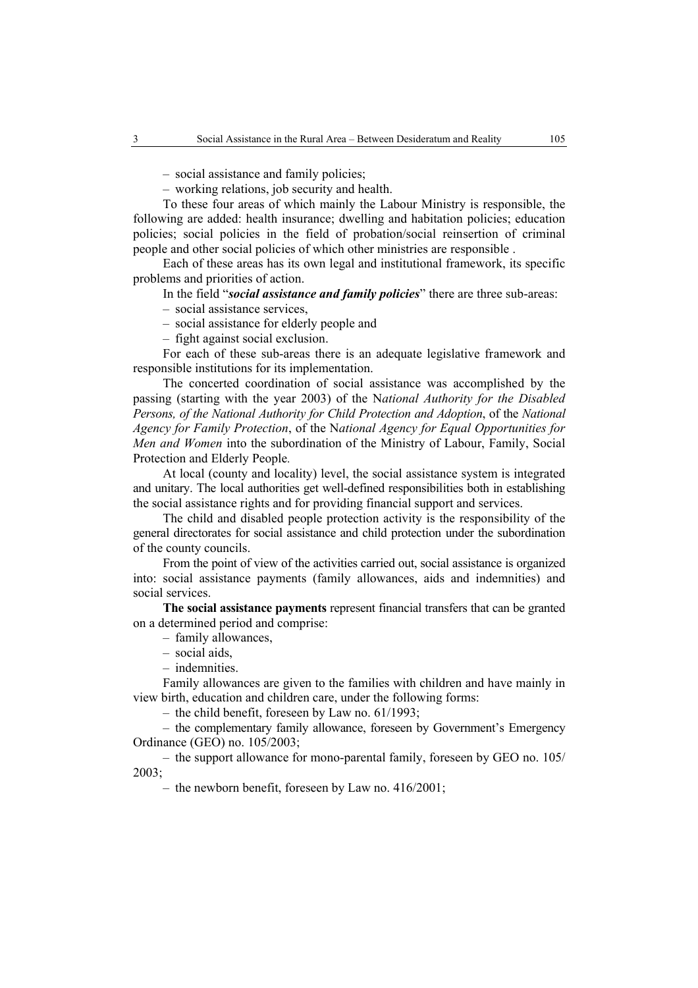– social assistance and family policies;

– working relations, job security and health.

To these four areas of which mainly the Labour Ministry is responsible, the following are added: health insurance; dwelling and habitation policies; education policies; social policies in the field of probation/social reinsertion of criminal people and other social policies of which other ministries are responsible .

Each of these areas has its own legal and institutional framework, its specific problems and priorities of action.

In the field "*social assistance and family policies*" there are three sub-areas:

- social assistance services,
- social assistance for elderly people and
- fight against social exclusion.

For each of these sub-areas there is an adequate legislative framework and responsible institutions for its implementation.

The concerted coordination of social assistance was accomplished by the passing (starting with the year 2003) of the N*ational Authority for the Disabled Persons, of the National Authority for Child Protection and Adoption*, of the *National Agency for Family Protection*, of the N*ational Agency for Equal Opportunities for Men and Women* into the subordination of the Ministry of Labour, Family, Social Protection and Elderly People*.* 

At local (county and locality) level, the social assistance system is integrated and unitary. The local authorities get well-defined responsibilities both in establishing the social assistance rights and for providing financial support and services.

The child and disabled people protection activity is the responsibility of the general directorates for social assistance and child protection under the subordination of the county councils.

From the point of view of the activities carried out, social assistance is organized into: social assistance payments (family allowances, aids and indemnities) and social services.

**The social assistance payments** represent financial transfers that can be granted on a determined period and comprise:

- family allowances,
- social aids,
- indemnities.

Family allowances are given to the families with children and have mainly in view birth, education and children care, under the following forms:

– the child benefit, foreseen by Law no. 61/1993;

– the complementary family allowance, foreseen by Government's Emergency Ordinance (GEO) no. 105/2003;

– the support allowance for mono-parental family, foreseen by GEO no. 105/ 2003;

– the newborn benefit, foreseen by Law no. 416/2001;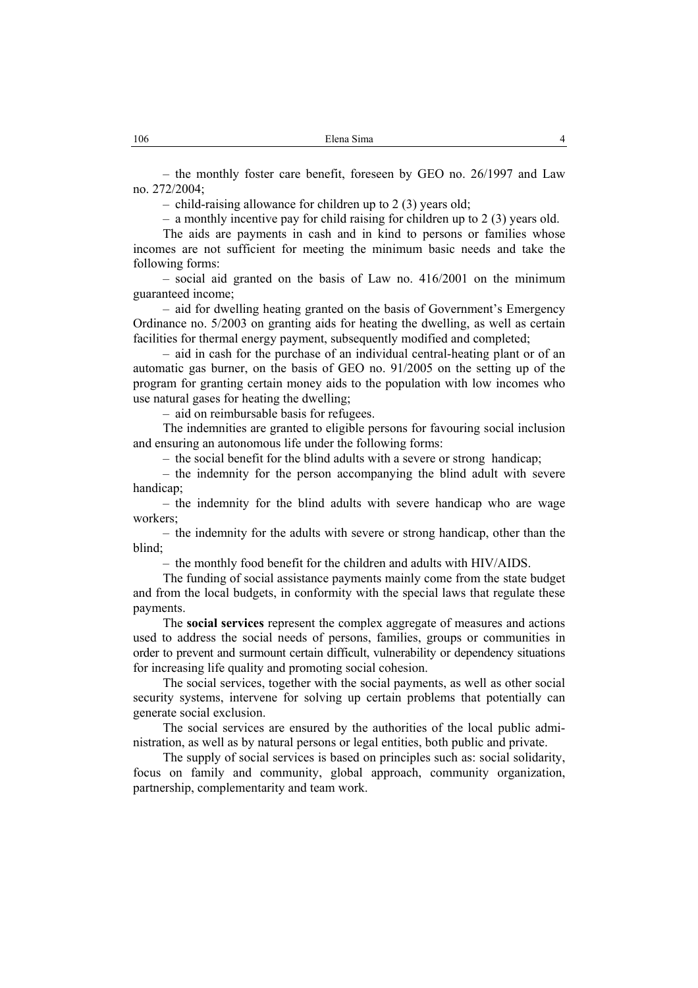– the monthly foster care benefit, foreseen by GEO no. 26/1997 and Law no. 272/2004;

– child-raising allowance for children up to 2 (3) years old;

– a monthly incentive pay for child raising for children up to 2 (3) years old.

The aids are payments in cash and in kind to persons or families whose incomes are not sufficient for meeting the minimum basic needs and take the following forms:

– social aid granted on the basis of Law no. 416/2001 on the minimum guaranteed income;

– aid for dwelling heating granted on the basis of Government's Emergency Ordinance no. 5/2003 on granting aids for heating the dwelling, as well as certain facilities for thermal energy payment, subsequently modified and completed;

– aid in cash for the purchase of an individual central-heating plant or of an automatic gas burner, on the basis of GEO no. 91/2005 on the setting up of the program for granting certain money aids to the population with low incomes who use natural gases for heating the dwelling;

– aid on reimbursable basis for refugees.

The indemnities are granted to eligible persons for favouring social inclusion and ensuring an autonomous life under the following forms:

– the social benefit for the blind adults with a severe or strong handicap;

– the indemnity for the person accompanying the blind adult with severe handicap;

– the indemnity for the blind adults with severe handicap who are wage workers;

– the indemnity for the adults with severe or strong handicap, other than the blind;

– the monthly food benefit for the children and adults with HIV/AIDS.

The funding of social assistance payments mainly come from the state budget and from the local budgets, in conformity with the special laws that regulate these payments.

The **social services** represent the complex aggregate of measures and actions used to address the social needs of persons, families, groups or communities in order to prevent and surmount certain difficult, vulnerability or dependency situations for increasing life quality and promoting social cohesion.

The social services, together with the social payments, as well as other social security systems, intervene for solving up certain problems that potentially can generate social exclusion.

The social services are ensured by the authorities of the local public administration, as well as by natural persons or legal entities, both public and private.

The supply of social services is based on principles such as: social solidarity, focus on family and community, global approach, community organization, partnership, complementarity and team work.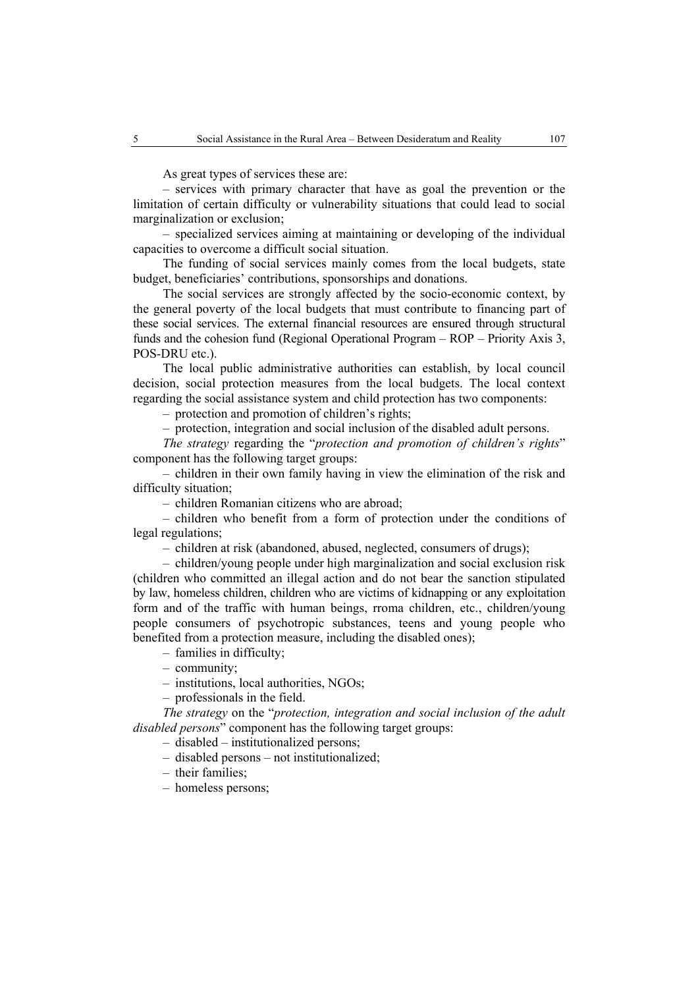As great types of services these are:

– services with primary character that have as goal the prevention or the limitation of certain difficulty or vulnerability situations that could lead to social marginalization or exclusion;

– specialized services aiming at maintaining or developing of the individual capacities to overcome a difficult social situation.

The funding of social services mainly comes from the local budgets, state budget, beneficiaries' contributions, sponsorships and donations.

The social services are strongly affected by the socio-economic context, by the general poverty of the local budgets that must contribute to financing part of these social services. The external financial resources are ensured through structural funds and the cohesion fund (Regional Operational Program – ROP – Priority Axis 3, POS-DRU etc.).

The local public administrative authorities can establish, by local council decision, social protection measures from the local budgets. The local context regarding the social assistance system and child protection has two components:

– protection and promotion of children's rights;

– protection, integration and social inclusion of the disabled adult persons.

*The strategy* regarding the "*protection and promotion of children's rights*" component has the following target groups:

– children in their own family having in view the elimination of the risk and difficulty situation;

– children Romanian citizens who are abroad;

– children who benefit from a form of protection under the conditions of legal regulations;

– children at risk (abandoned, abused, neglected, consumers of drugs);

– children/young people under high marginalization and social exclusion risk (children who committed an illegal action and do not bear the sanction stipulated by law, homeless children, children who are victims of kidnapping or any exploitation form and of the traffic with human beings, rroma children, etc., children/young people consumers of psychotropic substances, teens and young people who benefited from a protection measure, including the disabled ones);

– families in difficulty;

– community;

– institutions, local authorities, NGOs;

– professionals in the field.

*The strategy* on the "*protection, integration and social inclusion of the adult disabled persons*" component has the following target groups:

– disabled – institutionalized persons;

– disabled persons – not institutionalized;

– their families;

– homeless persons;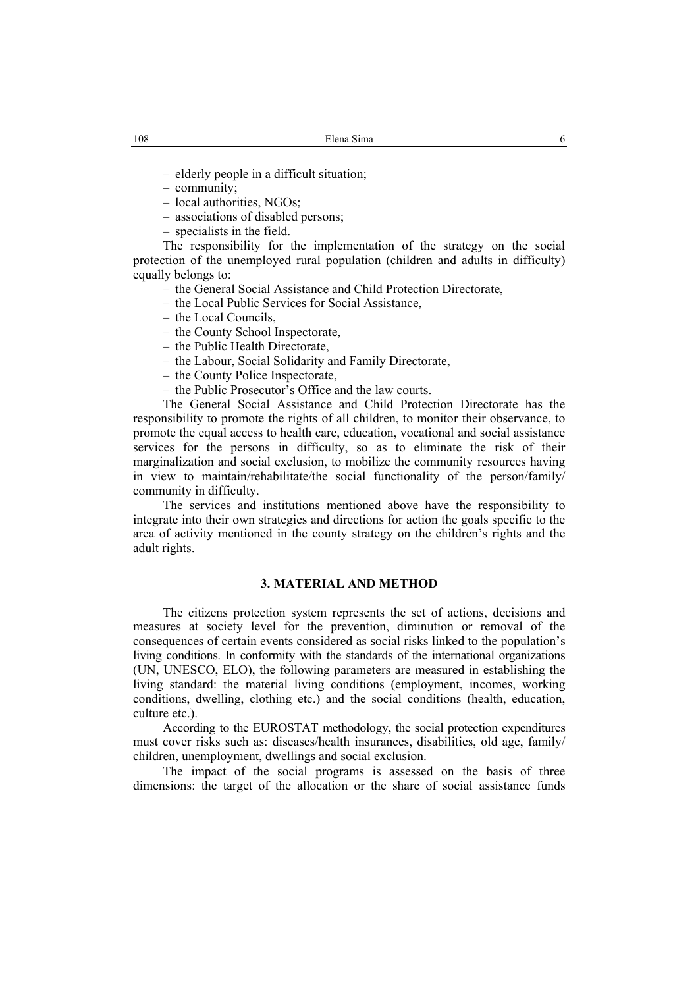– elderly people in a difficult situation;

- community;
- local authorities, NGOs;
- associations of disabled persons;

– specialists in the field.

The responsibility for the implementation of the strategy on the social protection of the unemployed rural population (children and adults in difficulty) equally belongs to:

- the General Social Assistance and Child Protection Directorate,
- the Local Public Services for Social Assistance,
- the Local Councils,
- the County School Inspectorate,
- the Public Health Directorate,
- the Labour, Social Solidarity and Family Directorate,
- the County Police Inspectorate,

– the Public Prosecutor's Office and the law courts.

The General Social Assistance and Child Protection Directorate has the responsibility to promote the rights of all children, to monitor their observance, to promote the equal access to health care, education, vocational and social assistance services for the persons in difficulty, so as to eliminate the risk of their marginalization and social exclusion, to mobilize the community resources having in view to maintain/rehabilitate/the social functionality of the person/family/ community in difficulty.

The services and institutions mentioned above have the responsibility to integrate into their own strategies and directions for action the goals specific to the area of activity mentioned in the county strategy on the children's rights and the adult rights.

### **3. MATERIAL AND METHOD**

The citizens protection system represents the set of actions, decisions and measures at society level for the prevention, diminution or removal of the consequences of certain events considered as social risks linked to the population's living conditions. In conformity with the standards of the international organizations (UN, UNESCO, ELO), the following parameters are measured in establishing the living standard: the material living conditions (employment, incomes, working conditions, dwelling, clothing etc.) and the social conditions (health, education, culture etc.).

According to the EUROSTAT methodology, the social protection expenditures must cover risks such as: diseases/health insurances, disabilities, old age, family/ children, unemployment, dwellings and social exclusion.

The impact of the social programs is assessed on the basis of three dimensions: the target of the allocation or the share of social assistance funds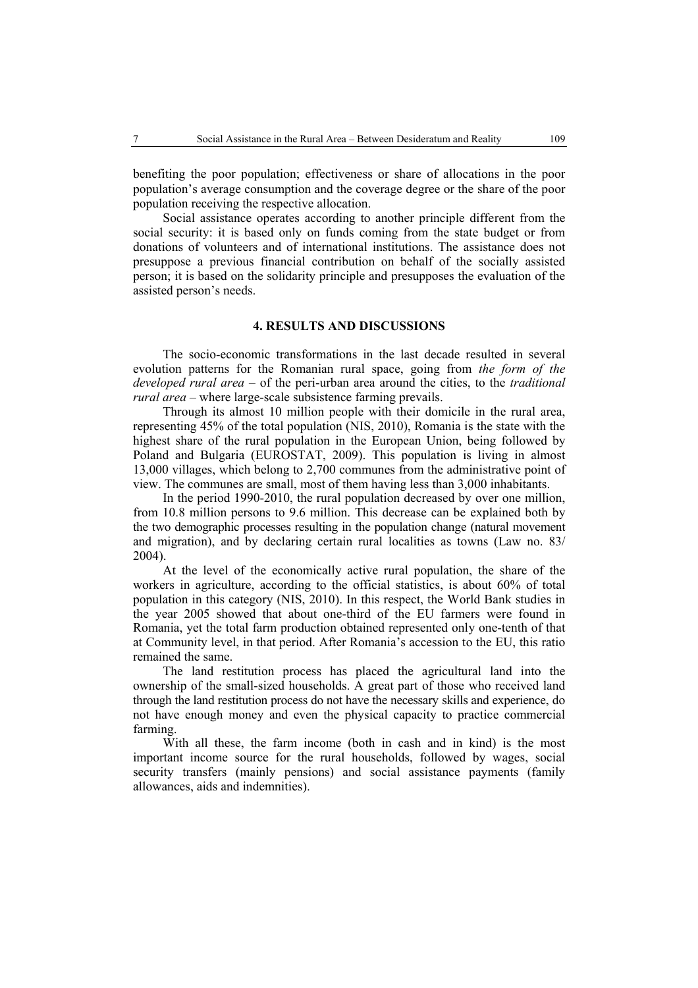benefiting the poor population; effectiveness or share of allocations in the poor population's average consumption and the coverage degree or the share of the poor population receiving the respective allocation.

Social assistance operates according to another principle different from the social security: it is based only on funds coming from the state budget or from donations of volunteers and of international institutions. The assistance does not presuppose a previous financial contribution on behalf of the socially assisted person; it is based on the solidarity principle and presupposes the evaluation of the assisted person's needs.

### **4. RESULTS AND DISCUSSIONS**

The socio-economic transformations in the last decade resulted in several evolution patterns for the Romanian rural space, going from *the form of the developed rural area* – of the peri-urban area around the cities, to the *traditional rural area* – where large-scale subsistence farming prevails.

Through its almost 10 million people with their domicile in the rural area, representing 45% of the total population (NIS, 2010), Romania is the state with the highest share of the rural population in the European Union, being followed by Poland and Bulgaria (EUROSTAT, 2009). This population is living in almost 13,000 villages, which belong to 2,700 communes from the administrative point of view. The communes are small, most of them having less than 3,000 inhabitants.

In the period 1990-2010, the rural population decreased by over one million, from 10.8 million persons to 9.6 million. This decrease can be explained both by the two demographic processes resulting in the population change (natural movement and migration), and by declaring certain rural localities as towns (Law no. 83/ 2004).

At the level of the economically active rural population, the share of the workers in agriculture, according to the official statistics, is about 60% of total population in this category (NIS, 2010). In this respect, the World Bank studies in the year 2005 showed that about one-third of the EU farmers were found in Romania, yet the total farm production obtained represented only one-tenth of that at Community level, in that period. After Romania's accession to the EU, this ratio remained the same.

The land restitution process has placed the agricultural land into the ownership of the small-sized households. A great part of those who received land through the land restitution process do not have the necessary skills and experience, do not have enough money and even the physical capacity to practice commercial farming.

With all these, the farm income (both in cash and in kind) is the most important income source for the rural households, followed by wages, social security transfers (mainly pensions) and social assistance payments (family allowances, aids and indemnities).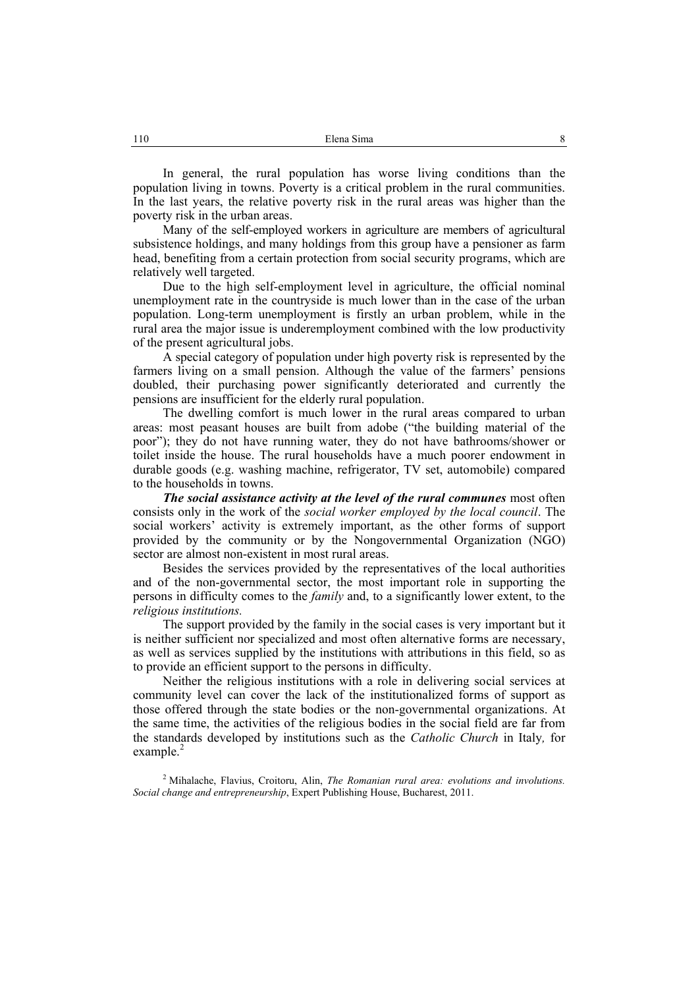In general, the rural population has worse living conditions than the population living in towns. Poverty is a critical problem in the rural communities. In the last years, the relative poverty risk in the rural areas was higher than the poverty risk in the urban areas.

Many of the self-employed workers in agriculture are members of agricultural subsistence holdings, and many holdings from this group have a pensioner as farm head, benefiting from a certain protection from social security programs, which are relatively well targeted.

Due to the high self-employment level in agriculture, the official nominal unemployment rate in the countryside is much lower than in the case of the urban population. Long-term unemployment is firstly an urban problem, while in the rural area the major issue is underemployment combined with the low productivity of the present agricultural jobs.

A special category of population under high poverty risk is represented by the farmers living on a small pension. Although the value of the farmers' pensions doubled, their purchasing power significantly deteriorated and currently the pensions are insufficient for the elderly rural population.

The dwelling comfort is much lower in the rural areas compared to urban areas: most peasant houses are built from adobe ("the building material of the poor"); they do not have running water, they do not have bathrooms/shower or toilet inside the house. The rural households have a much poorer endowment in durable goods (e.g. washing machine, refrigerator, TV set, automobile) compared to the households in towns.

*The social assistance activity at the level of the rural communes* most often consists only in the work of the *social worker employed by the local council*. The social workers' activity is extremely important, as the other forms of support provided by the community or by the Nongovernmental Organization (NGO) sector are almost non-existent in most rural areas.

Besides the services provided by the representatives of the local authorities and of the non-governmental sector, the most important role in supporting the persons in difficulty comes to the *family* and, to a significantly lower extent, to the *religious institutions.* 

The support provided by the family in the social cases is very important but it is neither sufficient nor specialized and most often alternative forms are necessary, as well as services supplied by the institutions with attributions in this field, so as to provide an efficient support to the persons in difficulty.

Neither the religious institutions with a role in delivering social services at community level can cover the lack of the institutionalized forms of support as those offered through the state bodies or the non-governmental organizations. At the same time, the activities of the religious bodies in the social field are far from the standards developed by institutions such as the *Catholic Church* in Italy*,* for example. $^{2}$ 

2 Mihalache, Flavius, Croitoru, Alin, *The Romanian rural area: evolutions and involutions. Social change and entrepreneurship*, Expert Publishing House, Bucharest, 2011.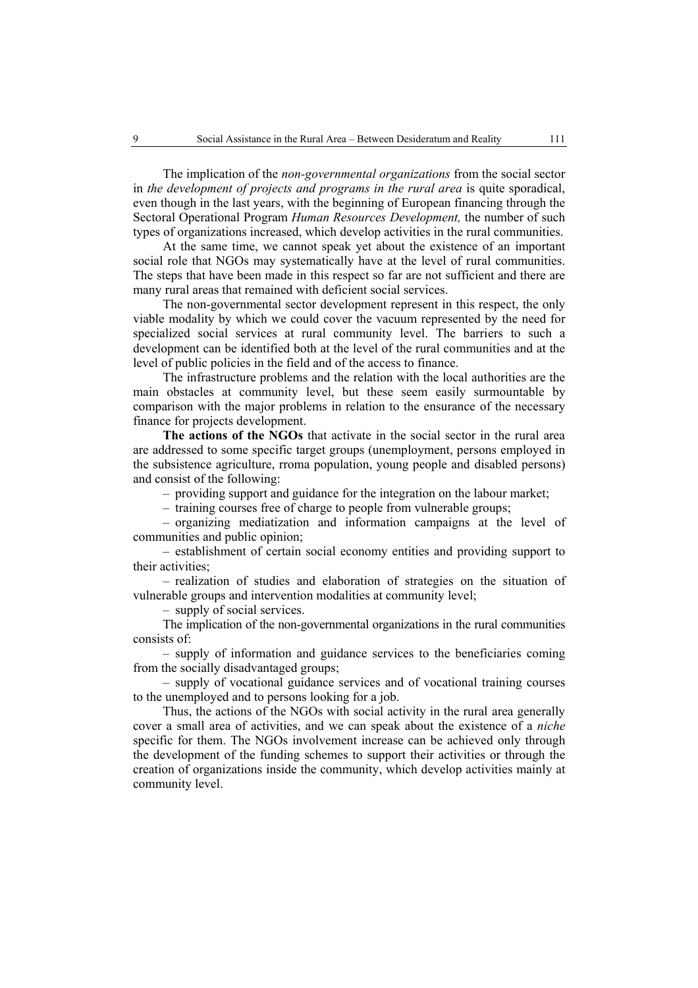The implication of the *non-governmental organizations* from the social sector in *the development of projects and programs in the rural area* is quite sporadical, even though in the last years, with the beginning of European financing through the Sectoral Operational Program *Human Resources Development,* the number of such types of organizations increased, which develop activities in the rural communities.

At the same time, we cannot speak yet about the existence of an important social role that NGOs may systematically have at the level of rural communities. The steps that have been made in this respect so far are not sufficient and there are many rural areas that remained with deficient social services.

The non-governmental sector development represent in this respect, the only viable modality by which we could cover the vacuum represented by the need for specialized social services at rural community level. The barriers to such a development can be identified both at the level of the rural communities and at the level of public policies in the field and of the access to finance.

The infrastructure problems and the relation with the local authorities are the main obstacles at community level, but these seem easily surmountable by comparison with the major problems in relation to the ensurance of the necessary finance for projects development.

**The actions of the NGOs** that activate in the social sector in the rural area are addressed to some specific target groups (unemployment, persons employed in the subsistence agriculture, rroma population, young people and disabled persons) and consist of the following:

– providing support and guidance for the integration on the labour market;

– training courses free of charge to people from vulnerable groups;

– organizing mediatization and information campaigns at the level of communities and public opinion;

– establishment of certain social economy entities and providing support to their activities;

– realization of studies and elaboration of strategies on the situation of vulnerable groups and intervention modalities at community level;

– supply of social services.

The implication of the non-governmental organizations in the rural communities consists of:

– supply of information and guidance services to the beneficiaries coming from the socially disadvantaged groups;

– supply of vocational guidance services and of vocational training courses to the unemployed and to persons looking for a job.

Thus, the actions of the NGOs with social activity in the rural area generally cover a small area of activities, and we can speak about the existence of a *niche* specific for them. The NGOs involvement increase can be achieved only through the development of the funding schemes to support their activities or through the creation of organizations inside the community, which develop activities mainly at community level.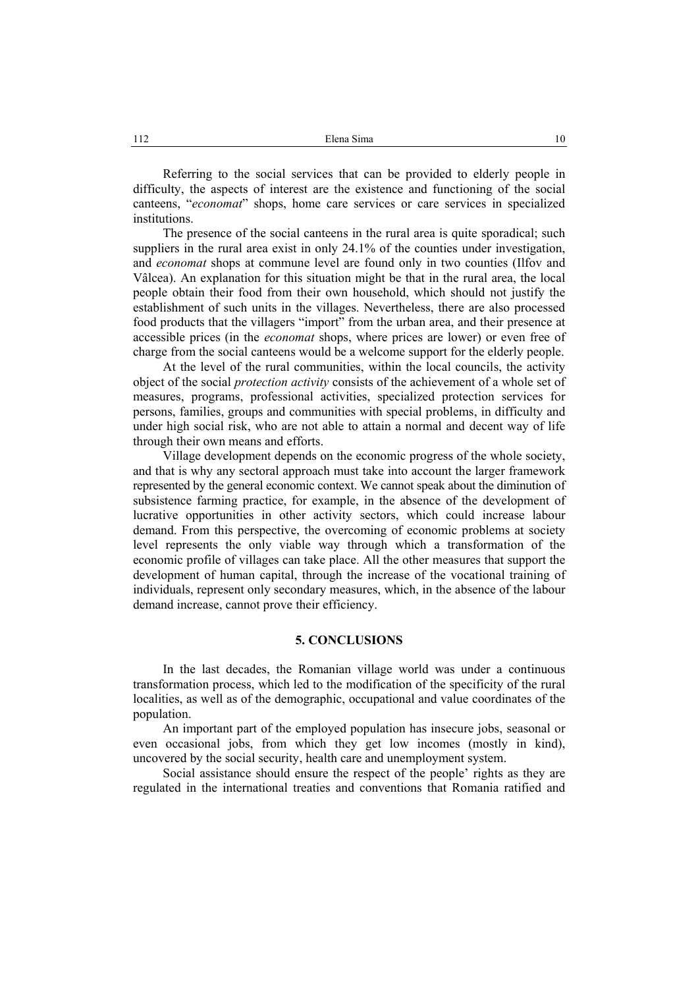Referring to the social services that can be provided to elderly people in difficulty, the aspects of interest are the existence and functioning of the social canteens, "*economat*" shops, home care services or care services in specialized institutions.

The presence of the social canteens in the rural area is quite sporadical; such suppliers in the rural area exist in only 24.1% of the counties under investigation, and *economat* shops at commune level are found only in two counties (Ilfov and Vâlcea). An explanation for this situation might be that in the rural area, the local people obtain their food from their own household, which should not justify the establishment of such units in the villages. Nevertheless, there are also processed food products that the villagers "import" from the urban area, and their presence at accessible prices (in the *economat* shops, where prices are lower) or even free of charge from the social canteens would be a welcome support for the elderly people.

At the level of the rural communities, within the local councils, the activity object of the social *protection activity* consists of the achievement of a whole set of measures, programs, professional activities, specialized protection services for persons, families, groups and communities with special problems, in difficulty and under high social risk, who are not able to attain a normal and decent way of life through their own means and efforts.

Village development depends on the economic progress of the whole society, and that is why any sectoral approach must take into account the larger framework represented by the general economic context. We cannot speak about the diminution of subsistence farming practice, for example, in the absence of the development of lucrative opportunities in other activity sectors, which could increase labour demand. From this perspective, the overcoming of economic problems at society level represents the only viable way through which a transformation of the economic profile of villages can take place. All the other measures that support the development of human capital, through the increase of the vocational training of individuals, represent only secondary measures, which, in the absence of the labour demand increase, cannot prove their efficiency.

### **5. CONCLUSIONS**

In the last decades, the Romanian village world was under a continuous transformation process, which led to the modification of the specificity of the rural localities, as well as of the demographic, occupational and value coordinates of the population.

An important part of the employed population has insecure jobs, seasonal or even occasional jobs, from which they get low incomes (mostly in kind), uncovered by the social security, health care and unemployment system.

Social assistance should ensure the respect of the people' rights as they are regulated in the international treaties and conventions that Romania ratified and